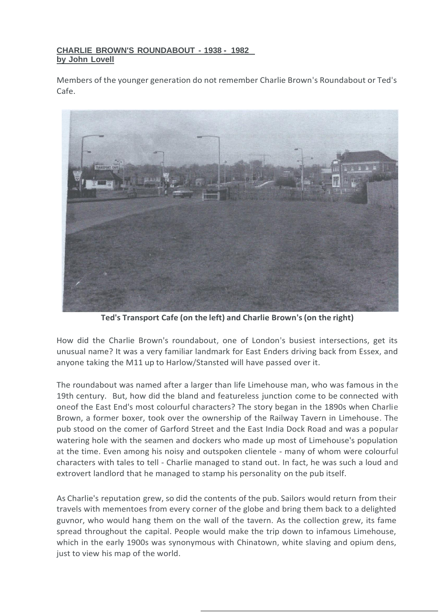## **CHARLIE BROWN'S ROUNDABOUT - 1938 - 1982 by John Lovell**

Members of the younger generation do not remember Charlie Brown's Roundabout or Ted's Cafe.



**Ted's Transport Cafe (on the left) and Charlie Brown's(on the right)**

How did the Charlie Brown's roundabout, one of London's busiest intersections, get its unusual name? It was a very familiar landmark for East Enders driving back from Essex, and anyone taking the M11 up to Harlow/Stansted will have passed over it.

The roundabout was named after a larger than life Limehouse man, who was famous in the 19th century. But, how did the bland and featureless junction come to be connected with oneof the East End's most colourful characters? The story began in the 1890s when Charlie Brown, a former boxer, took over the ownership of the Railway Tavern in Limehouse. The pub stood on the comer of Garford Street and the East India Dock Road and was a popular watering hole with the seamen and dockers who made up most of Limehouse's population at the time. Even among his noisy and outspoken clientele - many of whom were colourful characters with tales to tell - Charlie managed to stand out. In fact, he was such a loud and extrovert landlord that he managed to stamp his personality on the pub itself.

As Charlie's reputation grew, so did the contents of the pub. Sailors would return from their travels with mementoes from every corner of the globe and bring them back to a delighted guvnor, who would hang them on the wall of the tavern. As the collection grew, its fame spread throughout the capital. People would make the trip down to infamous Limehouse, which in the early 1900s was synonymous with Chinatown, white slaving and opium dens, just to view his map of the world.